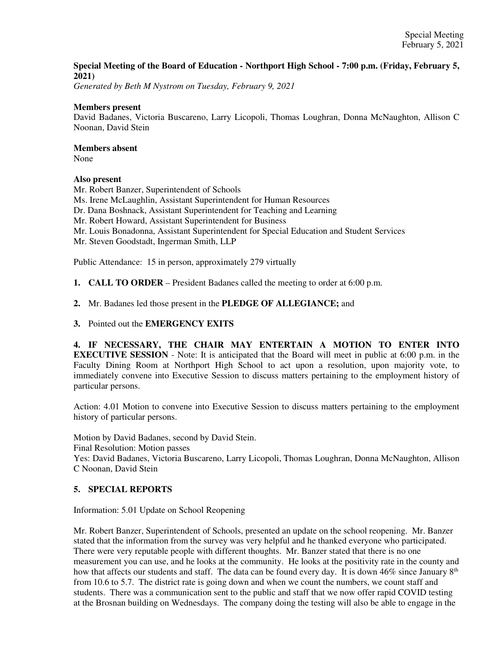### **Special Meeting of the Board of Education - Northport High School - 7:00 p.m. (Friday, February 5, 2021)**

*Generated by Beth M Nystrom on Tuesday, February 9, 2021*

#### **Members present**

David Badanes, Victoria Buscareno, Larry Licopoli, Thomas Loughran, Donna McNaughton, Allison C Noonan, David Stein

### **Members absent**

None

### **Also present**

Mr. Robert Banzer, Superintendent of Schools Ms. Irene McLaughlin, Assistant Superintendent for Human Resources Dr. Dana Boshnack, Assistant Superintendent for Teaching and Learning Mr. Robert Howard, Assistant Superintendent for Business Mr. Louis Bonadonna, Assistant Superintendent for Special Education and Student Services Mr. Steven Goodstadt, Ingerman Smith, LLP

Public Attendance: 15 in person, approximately 279 virtually

**1. CALL TO ORDER** – President Badanes called the meeting to order at 6:00 p.m.

**2.** Mr. Badanes led those present in the **PLEDGE OF ALLEGIANCE;** and

**3.** Pointed out the **EMERGENCY EXITS**

**4. IF NECESSARY, THE CHAIR MAY ENTERTAIN A MOTION TO ENTER INTO EXECUTIVE SESSION** - Note: It is anticipated that the Board will meet in public at 6:00 p.m. in the Faculty Dining Room at Northport High School to act upon a resolution, upon majority vote, to immediately convene into Executive Session to discuss matters pertaining to the employment history of particular persons.

Action: 4.01 Motion to convene into Executive Session to discuss matters pertaining to the employment history of particular persons.

Motion by David Badanes, second by David Stein.

Final Resolution: Motion passes

Yes: David Badanes, Victoria Buscareno, Larry Licopoli, Thomas Loughran, Donna McNaughton, Allison C Noonan, David Stein

### **5. SPECIAL REPORTS**

Information: 5.01 Update on School Reopening

Mr. Robert Banzer, Superintendent of Schools, presented an update on the school reopening. Mr. Banzer stated that the information from the survey was very helpful and he thanked everyone who participated. There were very reputable people with different thoughts. Mr. Banzer stated that there is no one measurement you can use, and he looks at the community. He looks at the positivity rate in the county and how that affects our students and staff. The data can be found every day. It is down  $46\%$  since January  $8<sup>th</sup>$ from 10.6 to 5.7. The district rate is going down and when we count the numbers, we count staff and students. There was a communication sent to the public and staff that we now offer rapid COVID testing at the Brosnan building on Wednesdays. The company doing the testing will also be able to engage in the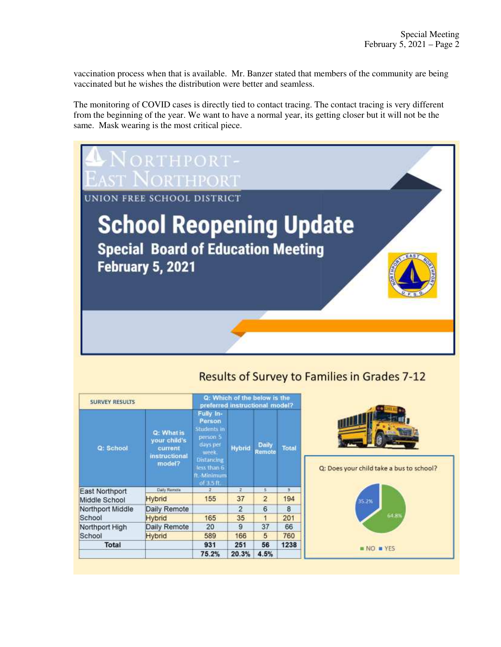vaccination process when that is available. Mr. Banzer stated that members of the community are being vaccinated but he wishes the distribution were better and seamless.

The monitoring of COVID cases is directly tied to contact tracing. The contact tracing is very different from the beginning of the year. We want to have a normal year, its getting closer but it will not be the same. Mask wearing is the most critical piece.



## **Results of Survey to Families in Grades 7-12**

| <b>SURVEY RESULTS</b>      |                                                                  | Q: Which of the below is the<br>preferred instructional model?                                                                       |                |                 |       |                                                           |
|----------------------------|------------------------------------------------------------------|--------------------------------------------------------------------------------------------------------------------------------------|----------------|-----------------|-------|-----------------------------------------------------------|
| Q: School                  | Q: What is<br>your child's<br>current<br>instructional<br>model? | Fully In-<br>Person<br>Students in<br>person 5<br>days per<br>week.<br><b>Distancing</b><br>less than 6<br>ft. Minimum<br>of 3.5 ft. | <b>Hybrid</b>  | Daily<br>Remote | Total | <b>UNITED</b><br>Q: Does your child take a bus to school? |
| East Northport             | Daily Remote                                                     | $2^{\circ}$                                                                                                                          | $\overline{x}$ | B.              | 3     |                                                           |
| Middle School              | <b>Hybrid</b>                                                    | 155                                                                                                                                  | 37             | $\overline{2}$  | 194   | 35.2%                                                     |
| Northport Middle<br>School | Daily Remote                                                     |                                                                                                                                      | 2              | 6               | 8     |                                                           |
|                            | <b>Hybrid</b>                                                    | 165                                                                                                                                  | 35             | 1               | 201   | 64.8%                                                     |
| Northport High<br>School   | Daily Remote                                                     | 20                                                                                                                                   | 9              | 37              | 66    |                                                           |
|                            | Hybrid                                                           | 589                                                                                                                                  | 166            | 5               | 760   |                                                           |
| Total                      |                                                                  | 931                                                                                                                                  | 251            | 56              | 1238  | $NQ = YES$                                                |
|                            |                                                                  | 75.2%                                                                                                                                | 20.3%          | 4.5%            |       |                                                           |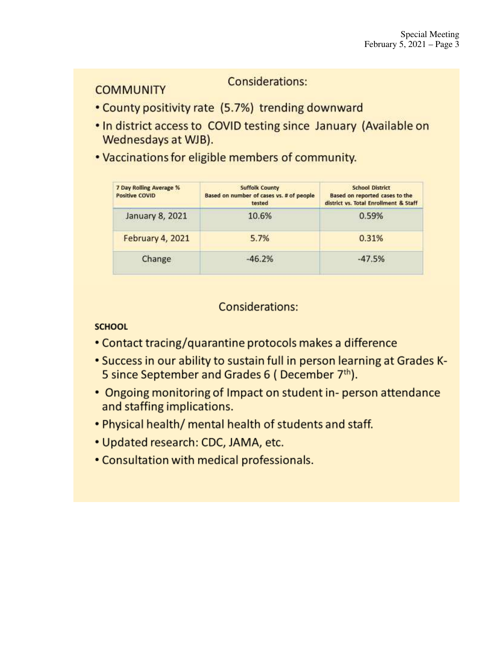### Considerations:

- County positivity rate (5.7%) trending downward
- . In district access to COVID testing since January (Available on Wednesdays at WJB).
- . Vaccinations for eligible members of community.

| 7 Day Rolling Average %<br><b>Positive COVID</b> | <b>Suffolk County</b><br>Based on number of cases vs. # of people<br>tested | <b>School District</b><br>Based on reported cases to the<br>district vs. Total Enrollment & Staff |
|--------------------------------------------------|-----------------------------------------------------------------------------|---------------------------------------------------------------------------------------------------|
| January 8, 2021                                  | 10.6%                                                                       | 0.59%                                                                                             |
| February 4, 2021                                 | 5.7%                                                                        | 0.31%                                                                                             |
| Change                                           | $-46.2%$                                                                    | $-47.5%$                                                                                          |

### Considerations:

### **SCHOOL**

**COMMUNITY** 

- Contact tracing/quarantine protocols makes a difference
- . Success in our ability to sustain full in person learning at Grades K-5 since September and Grades 6 (December 7th).
- Ongoing monitoring of Impact on student in-person attendance and staffing implications.
- . Physical health/ mental health of students and staff.
- Updated research: CDC, JAMA, etc.
- Consultation with medical professionals.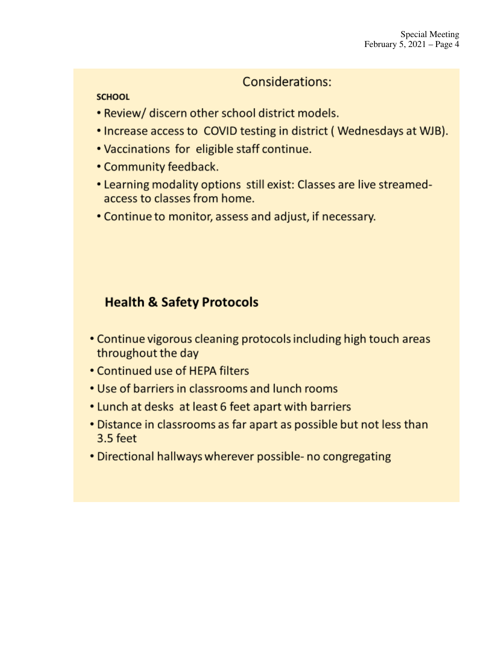## Considerations:

### **SCHOOL**

- Review/ discern other school district models.
- Increase access to COVID testing in district (Wednesdays at WJB).
- . Vaccinations for eligible staff continue.
- Community feedback.
- Learning modality options still exist: Classes are live streamedaccess to classes from home.
- Continue to monitor, assess and adjust, if necessary.

# **Health & Safety Protocols**

- Continue vigorous cleaning protocols including high touch areas throughout the day
- Continued use of HEPA filters
- Use of barriers in classrooms and lunch rooms
- Lunch at desks at least 6 feet apart with barriers
- Distance in classrooms as far apart as possible but not less than 3.5 feet
- Directional hallways wherever possible- no congregating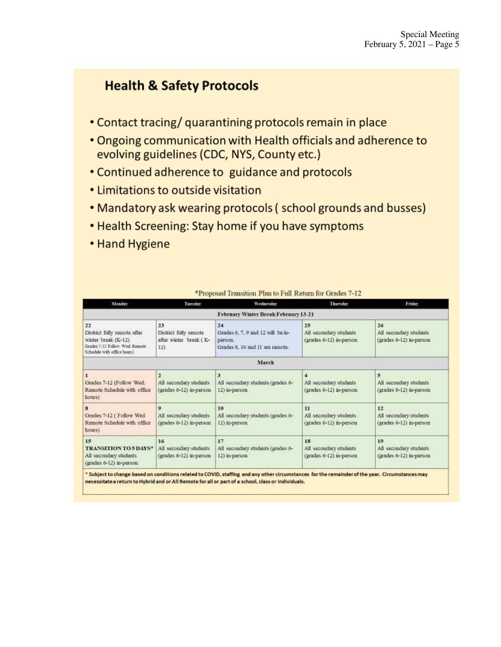# **Health & Safety Protocols**

- Contact tracing/ quarantining protocols remain in place
- . Ongoing communication with Health officials and adherence to evolving guidelines (CDC, NYS, County etc.)
- Continued adherence to guidance and protocols
- Limitations to outside visitation
- Mandatory ask wearing protocols (school grounds and busses)
- Health Screening: Stay home if you have symptoms
- Hand Hygiene

| Monday                                                                                                                   | Tuesday                                                                                                                                   | Wednesday                                                                             | Thursday                                                                  | Friday                                                  |
|--------------------------------------------------------------------------------------------------------------------------|-------------------------------------------------------------------------------------------------------------------------------------------|---------------------------------------------------------------------------------------|---------------------------------------------------------------------------|---------------------------------------------------------|
|                                                                                                                          |                                                                                                                                           | February Winter Break February 13-21                                                  |                                                                           |                                                         |
| 22<br>District fully remote after<br>winter break (K-12)<br>Grades 7-12 Follow Wed Remote<br>Schedule with office hours) | 23<br>District fully remote<br>after winter break (K-<br>12)                                                                              | 24<br>Grades 6, 7, 9 and 12 will be in-<br>person.<br>Grades 8, 10 and 11 are remote. | 25<br>All secondary students<br>(grades 6-12) in-person                   | 26<br>All secondary students<br>(grades 6-12) in-person |
|                                                                                                                          |                                                                                                                                           | March                                                                                 |                                                                           |                                                         |
| Grades 7-12 (Follow Wed.<br>Remote Schedule with office<br>hours)                                                        | $\mathbf{3}$<br>$\overline{2}$<br>All secondary students<br>All secondary students (grades 6-<br>(grades 6-12) in-person<br>12) in-person |                                                                                       | $\blacktriangleleft$<br>All secondary students<br>(grades 6-12) in-person | 5<br>All secondary students<br>(grades 6-12) in-person  |
| 8<br>Grades 7-12 (Follow Wed-<br>Remote Schedule with office<br>hours)                                                   | 9<br>All secondary students<br>(grades 6-12) in-person                                                                                    | 10<br>All secondary students (grades 6-<br>12) in-person                              | 11<br>All secondary students.<br>(grades 6-12) in-person                  | 12<br>All secondary students<br>(grades 6-12) in-person |
| 15<br>TRANSITION TO 5 DAYS*<br>All secondary students<br>(grades 6-12) in-person                                         | 16<br>All secondary students<br>(grades 6-12) in-person                                                                                   | 17<br>All secondary students (grades 6-<br>12) in-person                              | 18<br>All secondary students<br>(grades 6-12) in-person                   | 19<br>All secondary students<br>(grades 6-12) in-person |

\*Proposed Transition Plan to Full Return for Grades 7-12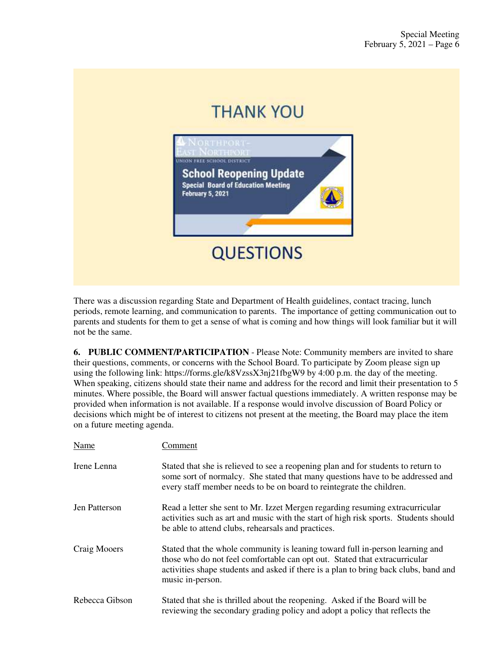

There was a discussion regarding State and Department of Health guidelines, contact tracing, lunch periods, remote learning, and communication to parents. The importance of getting communication out to parents and students for them to get a sense of what is coming and how things will look familiar but it will not be the same.

**6. PUBLIC COMMENT/PARTICIPATION** - Please Note: Community members are invited to share their questions, comments, or concerns with the School Board. To participate by Zoom please sign up using the following link: https://forms.gle/k8VzssX3nj21fbgW9 by 4:00 p.m. the day of the meeting. When speaking, citizens should state their name and address for the record and limit their presentation to 5 minutes. Where possible, the Board will answer factual questions immediately. A written response may be provided when information is not available. If a response would involve discussion of Board Policy or decisions which might be of interest to citizens not present at the meeting, the Board may place the item on a future meeting agenda.

| Name           | Comment                                                                                                                                                                                                                                                                 |
|----------------|-------------------------------------------------------------------------------------------------------------------------------------------------------------------------------------------------------------------------------------------------------------------------|
| Irene Lenna    | Stated that she is relieved to see a reopening plan and for students to return to<br>some sort of normalcy. She stated that many questions have to be addressed and<br>every staff member needs to be on board to reintegrate the children.                             |
| Jen Patterson  | Read a letter she sent to Mr. Izzet Mergen regarding resuming extracurricular<br>activities such as art and music with the start of high risk sports. Students should<br>be able to attend clubs, rehearsals and practices.                                             |
| Craig Mooers   | Stated that the whole community is leaning toward full in-person learning and<br>those who do not feel comfortable can opt out. Stated that extracurricular<br>activities shape students and asked if there is a plan to bring back clubs, band and<br>music in-person. |
| Rebecca Gibson | Stated that she is thrilled about the reopening. Asked if the Board will be<br>reviewing the secondary grading policy and adopt a policy that reflects the                                                                                                              |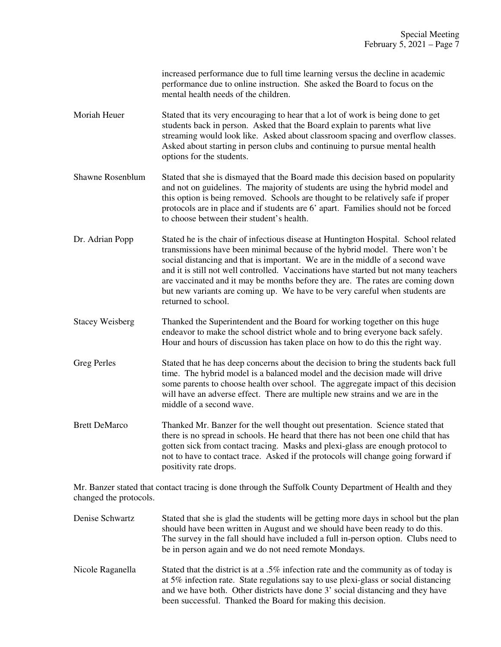increased performance due to full time learning versus the decline in academic performance due to online instruction. She asked the Board to focus on the mental health needs of the children.

- Moriah Heuer Stated that its very encouraging to hear that a lot of work is being done to get students back in person. Asked that the Board explain to parents what live streaming would look like. Asked about classroom spacing and overflow classes. Asked about starting in person clubs and continuing to pursue mental health options for the students.
- Shawne Rosenblum Stated that she is dismayed that the Board made this decision based on popularity and not on guidelines. The majority of students are using the hybrid model and this option is being removed. Schools are thought to be relatively safe if proper protocols are in place and if students are 6' apart. Families should not be forced to choose between their student's health.
- Dr. Adrian Popp Stated he is the chair of infectious disease at Huntington Hospital. School related transmissions have been minimal because of the hybrid model. There won't be social distancing and that is important. We are in the middle of a second wave and it is still not well controlled. Vaccinations have started but not many teachers are vaccinated and it may be months before they are. The rates are coming down but new variants are coming up. We have to be very careful when students are returned to school.
- Stacey Weisberg Thanked the Superintendent and the Board for working together on this huge endeavor to make the school district whole and to bring everyone back safely. Hour and hours of discussion has taken place on how to do this the right way.
- Greg Perles Stated that he has deep concerns about the decision to bring the students back full time. The hybrid model is a balanced model and the decision made will drive some parents to choose health over school. The aggregate impact of this decision will have an adverse effect. There are multiple new strains and we are in the middle of a second wave.
- Brett DeMarco Thanked Mr. Banzer for the well thought out presentation. Science stated that there is no spread in schools. He heard that there has not been one child that has gotten sick from contact tracing. Masks and plexi-glass are enough protocol to not to have to contact trace. Asked if the protocols will change going forward if positivity rate drops.

Mr. Banzer stated that contact tracing is done through the Suffolk County Department of Health and they changed the protocols.

Denise Schwartz Stated that she is glad the students will be getting more days in school but the plan should have been written in August and we should have been ready to do this. The survey in the fall should have included a full in-person option. Clubs need to be in person again and we do not need remote Mondays. Nicole Raganella Stated that the district is at a .5% infection rate and the community as of today is at 5% infection rate. State regulations say to use plexi-glass or social distancing and we have both. Other districts have done 3' social distancing and they have been successful. Thanked the Board for making this decision.